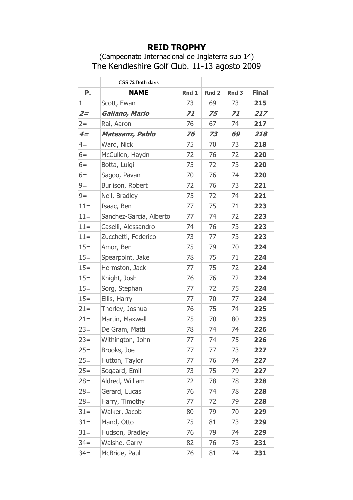## **REID TROPHY**

## (Campeonato Internacional de Inglaterra sub 14) The Kendleshire Golf Club. 11-13 agosto 2009

| Ρ.     | CSS 72 Both days        |       | Rnd <sub>2</sub> | Rnd <sub>3</sub> | <b>Final</b> |
|--------|-------------------------|-------|------------------|------------------|--------------|
|        | <b>NAME</b>             | Rnd 1 |                  |                  |              |
| 1      | Scott, Ewan             | 73    | 69               | 73               | 215          |
| $2 =$  | Galiano, Mario          | 71    | 75               | 71               | 217          |
| $2 =$  | Rai, Aaron              | 76    | 67               | 74               | 217          |
| $4=$   | Matesanz, Pablo         | 76    | 73               | 69               | 218          |
| $4=$   | Ward, Nick              | 75    | 70               | 73               | 218          |
| $6=$   | McCullen, Haydn         | 72    | 76               | 72               | 220          |
| $6=$   | Botta, Luigi            | 75    | 72               | 73               | 220          |
| $6=$   | Sagoo, Pavan            | 70    | 76               | 74               | 220          |
| $9=$   | Burlison, Robert        | 72    | 76               | 73               | 221          |
| $9=$   | Neil, Bradley           | 75    | 72               | 74               | 221          |
| $11 =$ | Isaac, Ben              | 77    | 75               | 71               | 223          |
| $11 =$ | Sanchez-Garcia, Alberto | 77    | 74               | 72               | 223          |
| $11 =$ | Caselli, Alessandro     | 74    | 76               | 73               | 223          |
| $11 =$ | Zucchetti, Federico     | 73    | 77               | 73               | 223          |
| $15=$  | Amor, Ben               | 75    | 79               | 70               | 224          |
| $15=$  | Spearpoint, Jake        | 78    | 75               | 71               | 224          |
| $15=$  | Hermston, Jack          | 77    | 75               | 72               | 224          |
| $15=$  | Knight, Josh            | 76    | 76               | 72               | 224          |
| $15=$  | Sorg, Stephan           | 77    | 72               | 75               | 224          |
| $15=$  | Ellis, Harry            | 77    | 70               | 77               | 224          |
| $21 =$ | Thorley, Joshua         | 76    | 75               | 74               | 225          |
| $21 =$ | Martin, Maxwell         | 75    | 70               | 80               | 225          |
| $23=$  | De Gram, Matti          | 78    | 74               | 74               | 226          |
| $23=$  | Withington, John        | 77    | 74               | 75               | 226          |
| $25=$  | Brooks, Joe             | 77    | 77               | 73               | 227          |
| $25=$  | Hutton, Taylor          | 77    | 76               | 74               | 227          |
| $25=$  | Sogaard, Emil           | 73    | 75               | 79               | 227          |
| $28=$  | Aldred, William         | 72    | 78               | 78               | 228          |
| $28=$  | Gerard, Lucas           | 76    | 74               | 78               | 228          |
| $28=$  | Harry, Timothy          | 77    | 72               | 79               | 228          |
| $31 =$ | Walker, Jacob           | 80    | 79               | 70               | 229          |
| $31 =$ | Mand, Otto              | 75    | 81               | 73               | 229          |
| $31 =$ | Hudson, Bradley         | 76    | 79               | 74               | 229          |
| $34 =$ | Walshe, Garry           | 82    | 76               | 73               | 231          |
| $34 =$ | McBride, Paul           | 76    | 81               | 74               | 231          |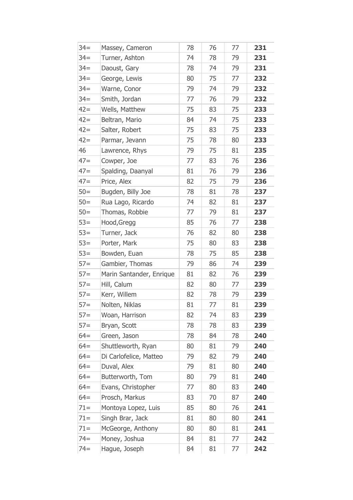| $34 =$ | Massey, Cameron          | 78 | 76 | 77 | 231 |
|--------|--------------------------|----|----|----|-----|
| $34 =$ | Turner, Ashton           | 74 | 78 | 79 | 231 |
| $34 =$ | Daoust, Gary             | 78 | 74 | 79 | 231 |
| $34 =$ | George, Lewis            | 80 | 75 | 77 | 232 |
| $34 =$ | Warne, Conor             | 79 | 74 | 79 | 232 |
| $34 =$ | Smith, Jordan            | 77 | 76 | 79 | 232 |
| $42 =$ | Wells, Matthew           | 75 | 83 | 75 | 233 |
| $42 =$ | Beltran, Mario           | 84 | 74 | 75 | 233 |
| $42 =$ | Salter, Robert           | 75 | 83 | 75 | 233 |
| $42 =$ | Parmar, Jevann           | 75 | 78 | 80 | 233 |
| 46     | Lawrence, Rhys           | 79 | 75 | 81 | 235 |
| $47=$  | Cowper, Joe              | 77 | 83 | 76 | 236 |
| $47=$  | Spalding, Daanyal        | 81 | 76 | 79 | 236 |
| $47=$  | Price, Alex              | 82 | 75 | 79 | 236 |
| $50=$  | Bugden, Billy Joe        | 78 | 81 | 78 | 237 |
| $50=$  | Rua Lago, Ricardo        | 74 | 82 | 81 | 237 |
| $50=$  | Thomas, Robbie           | 77 | 79 | 81 | 237 |
| $53=$  | Hood, Gregg              | 85 | 76 | 77 | 238 |
| $53=$  | Turner, Jack             | 76 | 82 | 80 | 238 |
| $53=$  | Porter, Mark             | 75 | 80 | 83 | 238 |
| $53=$  | Bowden, Euan             | 78 | 75 | 85 | 238 |
| $57 =$ | Gambier, Thomas          | 79 | 86 | 74 | 239 |
| $57 =$ | Marin Santander, Enrique | 81 | 82 | 76 | 239 |
| $57 =$ | Hill, Calum              | 82 | 80 | 77 | 239 |
| $57 =$ | Kerr, Willem             | 82 | 78 | 79 | 239 |
| $57=$  | Nolten, Niklas           | 81 | 77 | 81 | 239 |
| $57 =$ | Woan, Harrison           | 82 | 74 | 83 | 239 |
| $57 =$ | Bryan, Scott             | 78 | 78 | 83 | 239 |
| $64=$  | Green, Jason             | 78 | 84 | 78 | 240 |
| $64=$  | Shuttleworth, Ryan       | 80 | 81 | 79 | 240 |
| $64=$  | Di Carlofelice, Matteo   | 79 | 82 | 79 | 240 |
| $64 =$ | Duval, Alex              | 79 | 81 | 80 | 240 |
| $64=$  | Butterworth, Tom         | 80 | 79 | 81 | 240 |
| $64=$  | Evans, Christopher       | 77 | 80 | 83 | 240 |
| $64=$  | Prosch, Markus           | 83 | 70 | 87 | 240 |
| $71 =$ | Montoya Lopez, Luis      | 85 | 80 | 76 | 241 |
| $71 =$ | Singh Brar, Jack         | 81 | 80 | 80 | 241 |
| $71 =$ | McGeorge, Anthony        | 80 | 80 | 81 | 241 |
| $74 =$ | Money, Joshua            | 84 | 81 | 77 | 242 |
| $74 =$ | Hague, Joseph            | 84 | 81 | 77 | 242 |